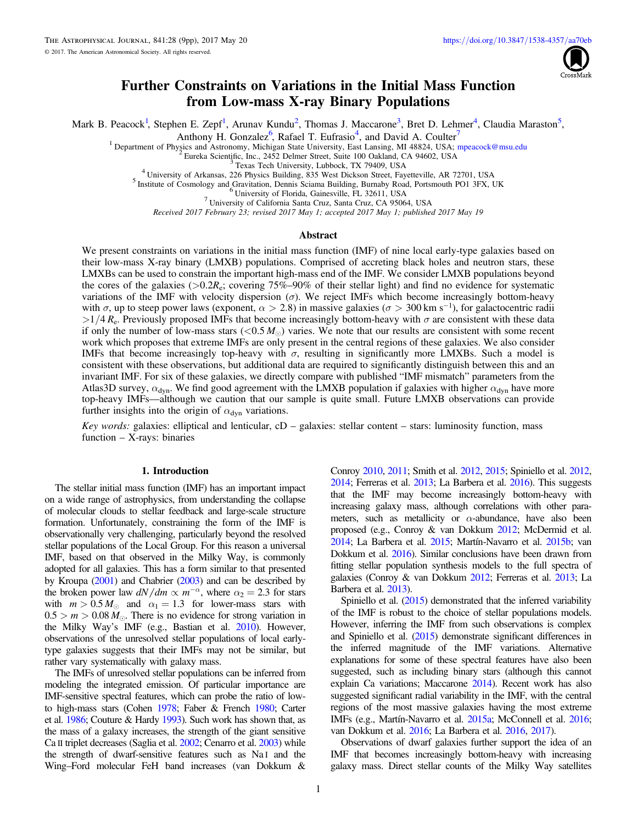

# Further Constraints on Variations in the Initial Mass Function from Low-mass X-ray Binary Populations

<span id="page-0-0"></span>Mark B. Peaco[ck](https://orcid.org/0000-0001-9767-8499)<sup>1</sup>[,](https://orcid.org/0000-0001-9767-8499) Stephen E. Zepf<sup>1</sup>, Arunav Kundu<sup>2</sup>, Thomas J. Maccarone<sup>3</sup>, Bret D. Lehmer<sup>4</sup>, Claudia Maraston<sup>5</sup>,

Anthony H. Gonzal[ez](https://orcid.org/0000-0002-0933-8601)<sup>6</sup>[,](https://orcid.org/0000-0002-0933-8601) Rafael T. Eufrasio<sup>4</sup>, and David A. Coult[er](https://orcid.org/0000-0003-4263-2228)<sup>[7](https://orcid.org/0000-0003-4263-2228)</sup>

<sup>1</sup> Department of Physics and Astronomy, Michigan State University, East Lansing, MI 48824, USA; [mpeacock@msu.edu](mailto:mpeacock@msu.edu)<br>
<sup>2</sup> Eureka Scientific, Inc., 2452 Delmer Street, Suite 100 Oakland, CA 94602, USA<br>
<sup>3</sup> Texas Tech Universi

Received 2017 February 23; revised 2017 May 1; accepted 2017 May 1; published 2017 May 19

#### Abstract

We present constraints on variations in the initial mass function (IMF) of nine local early-type galaxies based on their low-mass X-ray binary (LMXB) populations. Comprised of accreting black holes and neutron stars, these LMXBs can be used to constrain the important high-mass end of the IMF. We consider LMXB populations beyond the cores of the galaxies ( $>0.2R_e$ ; covering 75%–90% of their stellar light) and find no evidence for systematic variations of the IMF with velocity dispersion  $(\sigma)$ . We reject IMFs which become increasingly bottom-heavy with  $\sigma$ , up to steep power laws (exponent,  $\alpha > 2.8$ ) in massive galaxies ( $\sigma > 300$  km s<sup>-1</sup>), for galactocentric radii  $>1/4$  R<sub>e</sub>. Previously proposed IMFs that become increasingly bottom-heavy with  $\sigma$  are consistent with these data if only the number of low-mass stars  $(< 0.5 M_{\odot}$ ) varies. We note that our results are consistent with some recent work which proposes that extreme IMFs are only present in the central regions of these galaxies. We also consider IMFs that become increasingly top-heavy with  $\sigma$ , resulting in significantly more LMXBs. Such a model is consistent with these observations, but additional data are required to significantly distinguish between this and an invariant IMF. For six of these galaxies, we directly compare with published "IMF mismatch" parameters from the Atlas3D survey,  $\alpha_{dyn}$ . We find good agreement with the LMXB population if galaxies with higher  $\alpha_{dyn}$  have more top-heavy IMFs—although we caution that our sample is quite small. Future LMXB observations can provide further insights into the origin of  $\alpha_{dyn}$  variations.

Key words: galaxies: elliptical and lenticular,  $cD -$  galaxies: stellar content – stars: luminosity function, mass function – X-rays: binaries

#### 1. Introduction

The stellar initial mass function (IMF) has an important impact on a wide range of astrophysics, from understanding the collapse of molecular clouds to stellar feedback and large-scale structure formation. Unfortunately, constraining the form of the IMF is observationally very challenging, particularly beyond the resolved stellar populations of the Local Group. For this reason a universal IMF, based on that observed in the Milky Way, is commonly adopted for all galaxies. This has a form similar to that presented by Kroupa ([2001](#page-8-0)) and Chabrier ([2003](#page-8-0)) and can be described by the broken power law  $dN/dm \propto m^{-\alpha}$ , where  $\alpha_2 = 2.3$  for stars with  $m > 0.5 M_{\odot}$  and  $\alpha_1 = 1.3$  for lower-mass stars with  $0.5 > m > 0.08 M_{\odot}$ . There is no evidence for strong variation in the Milky Way's IMF (e.g., Bastian et al. [2010](#page-8-0)). However, observations of the unresolved stellar populations of local earlytype galaxies suggests that their IMFs may not be similar, but rather vary systematically with galaxy mass.

The IMFs of unresolved stellar populations can be inferred from modeling the integrated emission. Of particular importance are IMF-sensitive spectral features, which can probe the ratio of lowto high-mass stars (Cohen [1978;](#page-8-0) Faber & French [1980;](#page-8-0) Carter et al. [1986](#page-8-0); Couture & Hardy [1993](#page-8-0)). Such work has shown that, as the mass of a galaxy increases, the strength of the giant sensitive Ca II triplet decreases (Saglia et al. [2002;](#page-8-0) Cenarro et al. [2003](#page-8-0)) while the strength of dwarf-sensitive features such as Na I and the Wing–Ford molecular FeH band increases (van Dokkum &

Conroy [2010,](#page-8-0) [2011;](#page-8-0) Smith et al. [2012,](#page-8-0) [2015;](#page-8-0) Spiniello et al. [2012](#page-8-0),  $2014$ ; Ferreras et al.  $2013$ ; La Barbera et al.  $2016$ ). This suggests that the IMF may become increasingly bottom-heavy with increasing galaxy mass, although correlations with other parameters, such as metallicity or  $\alpha$ -abundance, have also been proposed (e.g., Conroy & van Dokkum [2012](#page-8-0); McDermid et al. [2014;](#page-8-0) La Barbera et al. [2015;](#page-8-0) Martín-Navarro et al. [2015b;](#page-8-0) van Dokkum et al. [2016](#page-8-0)). Similar conclusions have been drawn from fitting stellar population synthesis models to the full spectra of galaxies (Conroy & van Dokkum [2012](#page-8-0); Ferreras et al. [2013;](#page-8-0) La Barbera et al. [2013](#page-8-0)).

Spiniello et al. ([2015](#page-8-0)) demonstrated that the inferred variability of the IMF is robust to the choice of stellar populations models. However, inferring the IMF from such observations is complex and Spiniello et al. ([2015](#page-8-0)) demonstrate significant differences in the inferred magnitude of the IMF variations. Alternative explanations for some of these spectral features have also been suggested, such as including binary stars (although this cannot explain Ca variations; Maccarone [2014](#page-8-0)). Recent work has also suggested significant radial variability in the IMF, with the central regions of the most massive galaxies having the most extreme IMFs (e.g., Martín-Navarro et al. [2015a](#page-8-0); McConnell et al. [2016](#page-8-0); van Dokkum et al. [2016](#page-8-0); La Barbera et al. [2016,](#page-8-0) [2017](#page-8-0)).

Observations of dwarf galaxies further support the idea of an IMF that becomes increasingly bottom-heavy with increasing galaxy mass. Direct stellar counts of the Milky Way satellites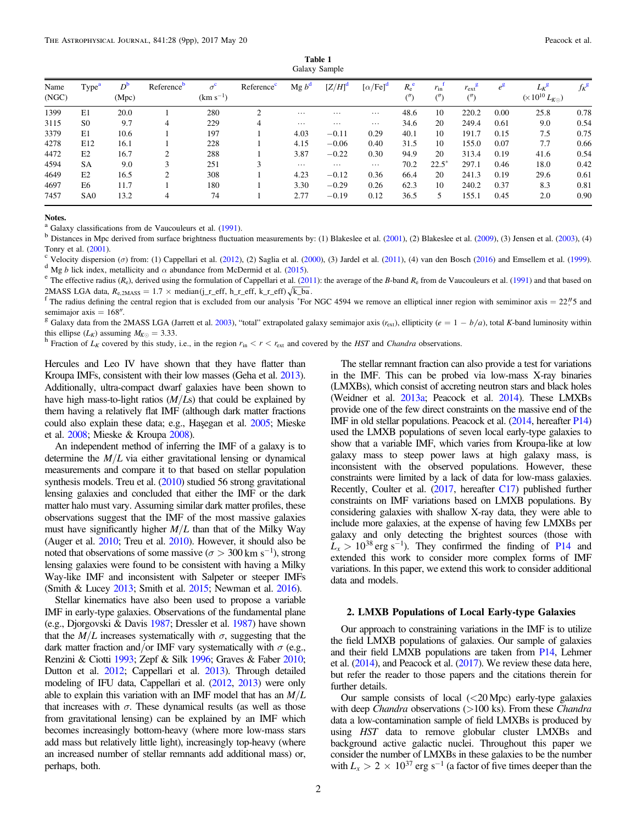<span id="page-1-0"></span>

| Galaxy Sample |                   |                      |                        |                             |                        |                   |             |                              |                               |                        |                                 |                  |                                                       |             |
|---------------|-------------------|----------------------|------------------------|-----------------------------|------------------------|-------------------|-------------|------------------------------|-------------------------------|------------------------|---------------------------------|------------------|-------------------------------------------------------|-------------|
| Name<br>(NGC) | Type <sup>a</sup> | $D^{\rm b}$<br>(Mpc) | Reference <sup>b</sup> | $\sigma^c$<br>$(km s^{-1})$ | Reference <sup>c</sup> | Mg b <sup>d</sup> | $[Z/H]^{d}$ | [ $\alpha$ /Fe] <sup>d</sup> | $R_{\rm e}^{\rm e}$<br>$($ ") | $r_{\rm in}$<br>$($ ") | $r_{\rm ext}^{\rm g}$<br>$($ ") | $e^{\mathbf{g}}$ | $L_K$ <sup>g</sup><br>$(\times\,10^{10}\,L_{K\odot})$ | $f_{K}^{S}$ |
| 1399          | E1                | 20.0                 |                        | 280                         | ◠                      | $\cdots$          | $\cdots$    | $\cdots$                     | 48.6                          | 10                     | 220.2                           | 0.00             | 25.8                                                  | 0.78        |
| 3115          | S <sub>0</sub>    | 9.7                  | 4                      | 229                         | 4                      | $\cdots$          | $\cdots$    | $\cdots$                     | 34.6                          | 20                     | 249.4                           | 0.61             | 9.0                                                   | 0.54        |
| 3379          | E1                | 10.6                 |                        | 197                         |                        | 4.03              | $-0.11$     | 0.29                         | 40.1                          | 10                     | 191.7                           | 0.15             | 7.5                                                   | 0.75        |
| 4278          | E12               | 16.1                 |                        | 228                         |                        | 4.15              | $-0.06$     | 0.40                         | 31.5                          | 10                     | 155.0                           | 0.07             | 7.7                                                   | 0.66        |
| 4472          | E2                | 16.7                 |                        | 288                         |                        | 3.87              | $-0.22$     | 0.30                         | 94.9                          | 20                     | 313.4                           | 0.19             | 41.6                                                  | 0.54        |
| 4594          | <b>SA</b>         | 9.0                  | 3                      | 251                         | 3                      | $\cdots$          | $\cdots$    | $\cdots$                     | 70.2                          | $22.5*$                | 297.1                           | 0.46             | 18.0                                                  | 0.42        |
| 4649          | E2                | 16.5                 | ◠                      | 308                         |                        | 4.23              | $-0.12$     | 0.36                         | 66.4                          | 20                     | 241.3                           | 0.19             | 29.6                                                  | 0.61        |
| 4697          | E6                | 11.7                 |                        | 180                         |                        | 3.30              | $-0.29$     | 0.26                         | 62.3                          | 10                     | 240.2                           | 0.37             | 8.3                                                   | 0.81        |
| 7457          | SA <sub>0</sub>   | 13.2                 | 4                      | 74                          |                        | 2.77              | $-0.19$     | 0.12                         | 36.5                          | 5                      | 155.1                           | 0.45             | 2.0                                                   | 0.90        |

Table 1

Notes.

 $^a$  Galaxy classifications from de Vaucouleurs et al. ([1991](#page-8-0)).<br><sup>b</sup> Distances in Mpc derived from surface brightness fluctuation measurements by: (1) Blakeslee et al. ([2001](#page-8-0)), (2) Blakeslee et al. ([2009](#page-8-0)), (3) Jensen et al.

Tonry et al. ([2001](#page-8-0)).<br>
<sup>c</sup> Velocity dispersion ( $\sigma$ ) from: (1) Cappellari et al. ([2012](#page-8-0)), (2) Saglia et al. ([2000](#page-8-0)), (3) Jardel et al. ([2011](#page-8-0)), (4) van den Bosch ([2016](#page-8-0)) and Emsellem et al. ([1999](#page-8-0)).<br>
<sup>d</sup> Mg *b* lick index, met

2MASS LGA data,  $R_{e,2MASS} = 1.7 \times \text{median}(\text{j}_r_\text{eff}, \text{h}_r_\text{eff}, \text{k}_r_\text{eff})\sqrt{k_\text{L}}$ ba.<br><sup>f</sup> The radius defining the central region that is excluded from our analysis \*For NGC 4594 we remove an elliptical inner region with semimi

semimajor axis = 168<sup>*n*</sup>. g Galaxy data from the 2MASS LGA (Jarrett et al. [2003](#page-8-0)), "total" extrapolated galaxy semimajor axis (*r*<sub>ext</sub>), ellipticity (*e* = 1 - *b*/*a*), total *K*-band luminosity within this ellipse ( $L_K$ ) assuming  $M_{K\odot} = 3.33$ .<br><sup>h</sup> Fraction of  $L_K$  covered by this study, i.e., in the region  $r_{\rm in} < r < r_{\rm ext}$  and covered by the *HST* and *Chandra* observations.

Hercules and Leo IV have shown that they have flatter than Kroupa IMFs, consistent with their low masses (Geha et al. [2013](#page-8-0)). Additionally, ultra-compact dwarf galaxies have been shown to have high mass-to-light ratios  $(M/Ls)$  that could be explained by them having a relatively flat IMF (although dark matter fractions could also explain these data; e.g., Haşegan et al. [2005;](#page-8-0) Mieske et al. [2008;](#page-8-0) Mieske & Kroupa [2008](#page-8-0)).

An independent method of inferring the IMF of a galaxy is to determine the  $M/L$  via either gravitational lensing or dynamical measurements and compare it to that based on stellar population synthesis models. Treu et al. ([2010](#page-8-0)) studied 56 strong gravitational lensing galaxies and concluded that either the IMF or the dark matter halo must vary. Assuming similar dark matter profiles, these observations suggest that the IMF of the most massive galaxies must have significantly higher  $M/L$  than that of the Milky Way (Auger et al. [2010;](#page-8-0) Treu et al. [2010](#page-8-0)). However, it should also be noted that observations of some massive ( $\sigma > 300 \text{ km s}^{-1}$ ), strong lensing galaxies were found to be consistent with having a Milky Way-like IMF and inconsistent with Salpeter or steeper IMFs (Smith & Lucey [2013](#page-8-0); Smith et al. [2015;](#page-8-0) Newman et al. [2016](#page-8-0)).

Stellar kinematics have also been used to propose a variable IMF in early-type galaxies. Observations of the fundamental plane (e.g., Djorgovski & Davis [1987](#page-8-0); Dressler et al. [1987](#page-8-0)) have shown that the  $M/L$  increases systematically with  $\sigma$ , suggesting that the dark matter fraction and/or IMF vary systematically with  $\sigma$  (e.g., Renzini & Ciotti [1993;](#page-8-0) Zepf & Silk [1996](#page-8-0); Graves & Faber [2010](#page-8-0); Dutton et al. [2012](#page-8-0); Cappellari et al. [2013](#page-8-0)). Through detailed modeling of IFU data, Cappellari et al. ([2012,](#page-8-0) [2013](#page-8-0)) were only able to explain this variation with an IMF model that has an  $M/L$ that increases with  $\sigma$ . These dynamical results (as well as those from gravitational lensing) can be explained by an IMF which becomes increasingly bottom-heavy (where more low-mass stars add mass but relatively little light), increasingly top-heavy (where an increased number of stellar remnants add additional mass) or, perhaps, both.

The stellar remnant fraction can also provide a test for variations in the IMF. This can be probed via low-mass X-ray binaries (LMXBs), which consist of accreting neutron stars and black holes (Weidner et al. [2013a](#page-8-0); Peacock et al. [2014](#page-8-0)). These LMXBs provide one of the few direct constraints on the massive end of the IMF in old stellar populations. Peacock et al. ([2014](#page-8-0), hereafter [P14](#page-8-0)) used the LMXB populations of seven local early-type galaxies to show that a variable IMF, which varies from Kroupa-like at low galaxy mass to steep power laws at high galaxy mass, is inconsistent with the observed populations. However, these constraints were limited by a lack of data for low-mass galaxies. Recently, Coulter et al. ([2017](#page-8-0), hereafter [C17](#page-8-0)) published further constraints on IMF variations based on LMXB populations. By considering galaxies with shallow X-ray data, they were able to include more galaxies, at the expense of having few LMXBs per galaxy and only detecting the brightest sources (those with  $L_x > 10^{38}$  erg s<sup>-1</sup>). They confirmed the finding of [P14](#page-8-0) and extended this work to consider more complex forms of IMF variations. In this paper, we extend this work to consider additional data and models.

## 2. LMXB Populations of Local Early-type Galaxies

Our approach to constraining variations in the IMF is to utilize the field LMXB populations of galaxies. Our sample of galaxies and their field LMXB populations are taken from [P14](#page-8-0), Lehmer et al.  $(2014)$  $(2014)$  $(2014)$ , and Peacock et al.  $(2017)$  $(2017)$  $(2017)$ . We review these data here, but refer the reader to those papers and the citations therein for further details.

Our sample consists of local  $( $20 \text{ Mpc}$ )$  early-type galaxies with deep Chandra observations (>100 ks). From these Chandra data a low-contamination sample of field LMXBs is produced by using HST data to remove globular cluster LMXBs and background active galactic nuclei. Throughout this paper we consider the number of LMXBs in these galaxies to be the number with  $L_x > 2 \times 10^{37}$  erg s<sup>-1</sup> (a factor of five times deeper than the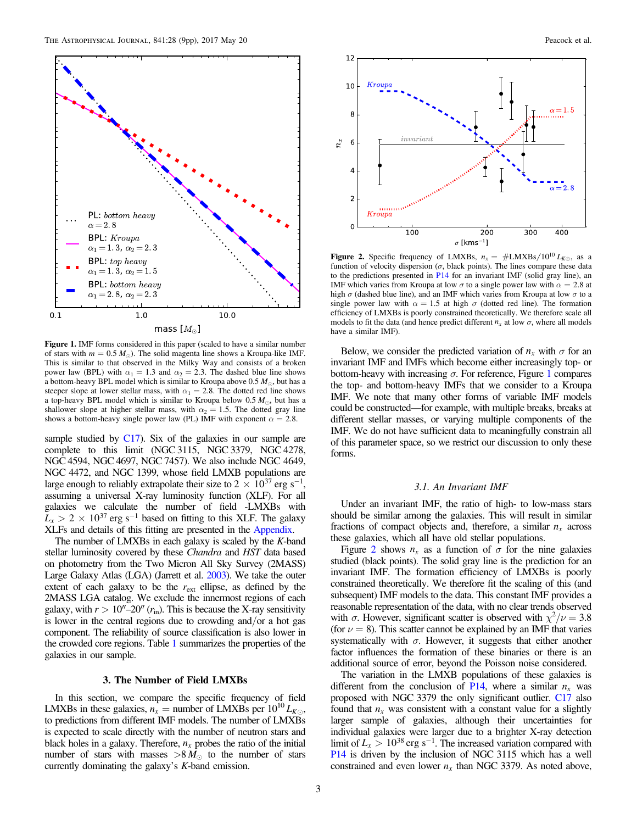<span id="page-2-0"></span>

Figure 1. IMF forms considered in this paper (scaled to have a similar number of stars with  $m = 0.5 M_{\odot}$ ). The solid magenta line shows a Kroupa-like IMF. This is similar to that observed in the Milky Way and consists of a broken power law (BPL) with  $\alpha_1 = 1.3$  and  $\alpha_2 = 2.3$ . The dashed blue line shows a bottom-heavy BPL model which is similar to Kroupa above 0.5  $M_{\odot}$ , but has a steeper slope at lower stellar mass, with  $\alpha_1 = 2.8$ . The dotted red line shows a top-heavy BPL model which is similar to Kroupa below  $0.5 M_{\odot}$ , but has a shallower slope at higher stellar mass, with  $\alpha_2 = 1.5$ . The dotted gray line shows a bottom-heavy single power law (PL) IMF with exponent  $\alpha = 2.8$ .

sample studied by  $C17$ ). Six of the galaxies in our sample are complete to this limit (NGC 3115, NGC 3379, NGC 4278, NGC 4594, NGC 4697, NGC 7457). We also include NGC 4649, NGC 4472, and NGC 1399, whose field LMXB populations are large enough to reliably extrapolate their size to  $2 \times 10^{37}$  erg s<sup>-1</sup>, assuming a universal X-ray luminosity function (XLF). For all galaxies we calculate the number of field -LMXBs with  $L_x > 2 \times 10^{37}$  erg s<sup>-1</sup> based on fitting to this XLF. The galaxy XLFs and details of this fitting are presented in the [Appendix.](#page-8-0)

The number of LMXBs in each galaxy is scaled by the K-band stellar luminosity covered by these Chandra and HST data based on photometry from the Two Micron All Sky Survey (2MASS) Large Galaxy Atlas (LGA) (Jarrett et al. [2003](#page-8-0)). We take the outer extent of each galaxy to be the  $r_{ext}$  ellipse, as defined by the 2MASS LGA catalog. We exclude the innermost regions of each galaxy, with  $r > 10''-20''$  ( $r_{\rm in}$ ). This is because the X-ray sensitivity is lower in the central regions due to crowding and/or a hot gas component. The reliability of source classification is also lower in the crowded core regions. Table [1](#page-1-0) summarizes the properties of the galaxies in our sample.

#### 3. The Number of Field LMXBs

In this section, we compare the specific frequency of field LMXBs in these galaxies,  $n_x$  = number of LMXBs per  $10^{10} L_{K\odot}$ , to predictions from different IMF models. The number of LMXBs is expected to scale directly with the number of neutron stars and black holes in a galaxy. Therefore,  $n_x$  probes the ratio of the initial number of stars with masses  $> 8 M_{\odot}$  to the number of stars currently dominating the galaxy's K-band emission.



**Figure 2.** Specific frequency of LMXBs,  $n_x = #LMXBs/10^{10} L_{K\odot}$ , as a function of velocity dispersion ( $\sigma$ , black points). The lines compare these data to the predictions presented in [P14](#page-8-0) for an invariant IMF (solid gray line), an IMF which varies from Kroupa at low  $\sigma$  to a single power law with  $\alpha = 2.8$  at high  $\sigma$  (dashed blue line), and an IMF which varies from Kroupa at low  $\sigma$  to a single power law with  $\alpha = 1.5$  at high  $\sigma$  (dotted red line). The formation efficiency of LMXBs is poorly constrained theoretically. We therefore scale all models to fit the data (and hence predict different  $n_x$  at low  $\sigma$ , where all models have a similar IMF).

Below, we consider the predicted variation of  $n_x$  with  $\sigma$  for an invariant IMF and IMFs which become either increasingly top- or bottom-heavy with increasing  $\sigma$ . For reference, Figure 1 compares the top- and bottom-heavy IMFs that we consider to a Kroupa IMF. We note that many other forms of variable IMF models could be constructed—for example, with multiple breaks, breaks at different stellar masses, or varying multiple components of the IMF. We do not have sufficient data to meaningfully constrain all of this parameter space, so we restrict our discussion to only these forms.

## 3.1. An Invariant IMF

Under an invariant IMF, the ratio of high- to low-mass stars should be similar among the galaxies. This will result in similar fractions of compact objects and, therefore, a similar  $n_x$  across these galaxies, which all have old stellar populations.

Figure 2 shows  $n_x$  as a function of  $\sigma$  for the nine galaxies studied (black points). The solid gray line is the prediction for an invariant IMF. The formation efficiency of LMXBs is poorly constrained theoretically. We therefore fit the scaling of this (and subsequent) IMF models to the data. This constant IMF provides a reasonable representation of the data, with no clear trends observed with  $\sigma$ . However, significant scatter is observed with  $\chi^2/\nu = 3.8$ (for  $\nu = 8$ ). This scatter cannot be explained by an IMF that varies systematically with  $\sigma$ . However, it suggests that either another factor influences the formation of these binaries or there is an additional source of error, beyond the Poisson noise considered.

The variation in the LMXB populations of these galaxies is different from the conclusion of  $P14$ , where a similar  $n<sub>x</sub>$  was proposed with NGC 3379 the only significant outlier. [C17](#page-8-0) also found that  $n_x$  was consistent with a constant value for a slightly larger sample of galaxies, although their uncertainties for individual galaxies were larger due to a brighter X-ray detection limit of  $L_x > 10^{38}$  erg s<sup>-1</sup>. The increased variation compared with [P14](#page-8-0) is driven by the inclusion of NGC 3115 which has a well constrained and even lower  $n_x$  than NGC 3379. As noted above,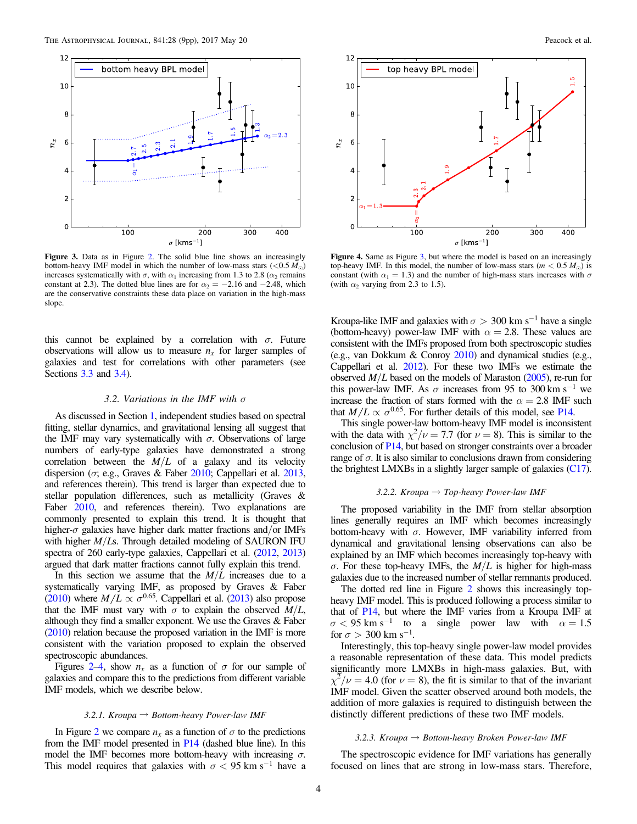<span id="page-3-0"></span>

Figure 3. Data as in Figure [2](#page-2-0). The solid blue line shows an increasingly bottom-heavy IMF model in which the number of low-mass stars  $(< 0.5 M<sub>o</sub>)$ increases systematically with  $\sigma$ , with  $\alpha_1$  increasing from 1.3 to 2.8 ( $\alpha_2$  remains constant at 2.3). The dotted blue lines are for  $\alpha_2 = -2.16$  and  $-2.48$ , which are the conservative constraints these data place on variation in the high-mass slope.

this cannot be explained by a correlation with  $\sigma$ . Future observations will allow us to measure  $n<sub>x</sub>$  for larger samples of galaxies and test for correlations with other parameters (see Sections [3.3](#page-4-0) and [3.4](#page-5-0)).

#### 3.2. Variations in the IMF with  $\sigma$

As discussed in Section [1,](#page-0-0) independent studies based on spectral fitting, stellar dynamics, and gravitational lensing all suggest that the IMF may vary systematically with  $\sigma$ . Observations of large numbers of early-type galaxies have demonstrated a strong correlation between the  $M/L$  of a galaxy and its velocity dispersion ( $\sigma$ ; e.g., Graves & Faber [2010](#page-8-0); Cappellari et al. [2013,](#page-8-0) and references therein). This trend is larger than expected due to stellar population differences, such as metallicity (Graves & Faber [2010](#page-8-0), and references therein). Two explanations are commonly presented to explain this trend. It is thought that higher- $\sigma$  galaxies have higher dark matter fractions and/or IMFs with higher  $M/Ls$ . Through detailed modeling of SAURON IFU spectra of 260 early-type galaxies, Cappellari et al. ([2012,](#page-8-0) [2013](#page-8-0)) argued that dark matter fractions cannot fully explain this trend.

In this section we assume that the  $M/L$  increases due to a systematically varying IMF, as proposed by Graves & Faber ([2010](#page-8-0)) where  $M/L \propto \sigma^{0.65}$ . Cappellari et al. ([2013](#page-8-0)) also propose that the IMF must vary with  $\sigma$  to explain the observed  $M/L$ , although they find a smaller exponent. We use the Graves & Faber ([2010](#page-8-0)) relation because the proposed variation in the IMF is more consistent with the variation proposed to explain the observed spectroscopic abundances.

Figures [2](#page-2-0)–4, show  $n_x$  as a function of  $\sigma$  for our sample of galaxies and compare this to the predictions from different variable IMF models, which we describe below.

## 3.2.1. Kroupa  $\rightarrow$  Bottom-heavy Power-law IMF

In Figure [2](#page-2-0) we compare  $n_x$  as a function of  $\sigma$  to the predictions from the IMF model presented in [P14](#page-8-0) (dashed blue line). In this model the IMF becomes more bottom-heavy with increasing  $\sigma$ . This model requires that galaxies with  $\sigma$  < 95 km s<sup>-1</sup> have a



Figure 4. Same as Figure 3, but where the model is based on an increasingly top-heavy IMF. In this model, the number of low-mass stars ( $m < 0.5 M_{\odot}$ ) is constant (with  $\alpha_1 = 1.3$ ) and the number of high-mass stars increases with  $\sigma$ (with  $\alpha_2$  varying from 2.3 to 1.5).

Kroupa-like IMF and galaxies with  $\sigma > 300$  km s<sup>-1</sup> have a single (bottom-heavy) power-law IMF with  $\alpha = 2.8$ . These values are consistent with the IMFs proposed from both spectroscopic studies (e.g., van Dokkum & Conroy [2010](#page-8-0)) and dynamical studies (e.g., Cappellari et al. [2012](#page-8-0)). For these two IMFs we estimate the observed  $M/L$  based on the models of Maraston ([2005](#page-8-0)), re-run for this power-law IMF. As  $\sigma$  increases from 95 to 300 km s<sup>-1</sup> we increase the fraction of stars formed with the  $\alpha = 2.8$  IMF such that  $M/L \propto \sigma^{0.65}$ . For further details of this model, see [P14.](#page-8-0)

This single power-law bottom-heavy IMF model is inconsistent with the data with  $\chi^2/\nu = 7.7$  (for  $\nu = 8$ ). This is similar to the conclusion of [P14,](#page-8-0) but based on stronger constraints over a broader range of  $\sigma$ . It is also similar to conclusions drawn from considering the brightest LMXBs in a slightly larger sample of galaxies ([C17](#page-8-0)).

## 3.2.2. Kroupa  $\rightarrow$  Top-heavy Power-law IMF

The proposed variability in the IMF from stellar absorption lines generally requires an IMF which becomes increasingly bottom-heavy with  $\sigma$ . However, IMF variability inferred from dynamical and gravitational lensing observations can also be explained by an IMF which becomes increasingly top-heavy with σ. For these top-heavy IMFs, the  $M/L$  is higher for high-mass galaxies due to the increased number of stellar remnants produced.

The dotted red line in Figure [2](#page-2-0) shows this increasingly topheavy IMF model. This is produced following a process similar to that of [P14](#page-8-0), but where the IMF varies from a Kroupa IMF at  $\sigma$  < 95 km s<sup>-1</sup> to a single power law with  $\alpha$  = 1.5 for  $\sigma > 300$  km s<sup>-1</sup>.

Interestingly, this top-heavy single power-law model provides a reasonable representation of these data. This model predicts significantly more LMXBs in high-mass galaxies. But, with  $\chi^2/\nu = 4.0$  (for  $\nu = 8$ ), the fit is similar to that of the invariant IMF model. Given the scatter observed around both models, the addition of more galaxies is required to distinguish between the distinctly different predictions of these two IMF models.

#### 3.2.3. Kroupa  $\rightarrow$  Bottom-heavy Broken Power-law IMF

The spectroscopic evidence for IMF variations has generally focused on lines that are strong in low-mass stars. Therefore,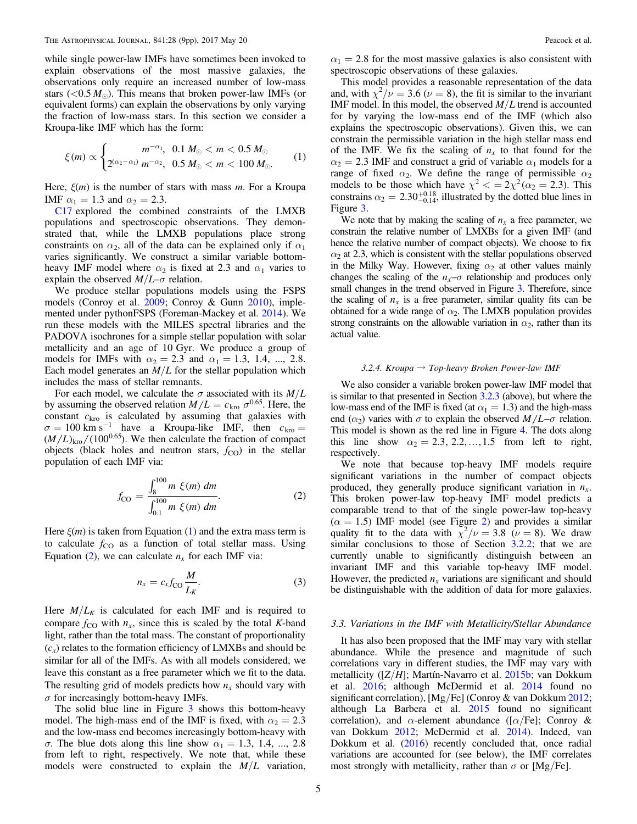<span id="page-4-0"></span>while single power-law IMFs have sometimes been invoked to explain observations of the most massive galaxies, the observations only require an increased number of low-mass stars ( $\langle 0.5 M_{\odot} \rangle$ ). This means that broken power-law IMFs (or equivalent forms) can explain the observations by only varying the fraction of low-mass stars. In this section we consider a Kroupa-like IMF which has the form:

$$
\xi(m) \propto \begin{cases} m^{-\alpha_1}, & 0.1 \, M_\odot < m < 0.5 \, M_\odot \\ 2^{(\alpha_2 - \alpha_1)} \, m^{-\alpha_2}, & 0.5 \, M_\odot < m < 100 \, M_\odot. \end{cases} \tag{1}
$$

Here,  $\xi(m)$  is the number of stars with mass m. For a Kroupa IMF  $\alpha_1 = 1.3$  and  $\alpha_2 = 2.3$ .

[C17](#page-8-0) explored the combined constraints of the LMXB populations and spectroscopic observations. They demonstrated that, while the LMXB populations place strong constraints on  $\alpha_2$ , all of the data can be explained only if  $\alpha_1$ varies significantly. We construct a similar variable bottomheavy IMF model where  $\alpha_2$  is fixed at 2.3 and  $\alpha_1$  varies to explain the observed  $M/L-\sigma$  relation.

We produce stellar populations models using the FSPS models (Conroy et al. [2009;](#page-8-0) Conroy & Gunn [2010](#page-8-0)), implemented under pythonFSPS (Foreman-Mackey et al. [2014](#page-8-0)). We run these models with the MILES spectral libraries and the PADOVA isochrones for a simple stellar population with solar metallicity and an age of 10 Gyr. We produce a group of models for IMFs with  $\alpha_2 = 2.3$  and  $\alpha_1 = 1.3, 1.4, ..., 2.8$ . Each model generates an  $M/L$  for the stellar population which includes the mass of stellar remnants.

For each model, we calculate the  $\sigma$  associated with its  $M/L$ by assuming the observed relation  $M/L = c_{\text{kro}} \sigma^{0.65}$ . Here, the constant  $c_{\text{kro}}$  is calculated by assuming that galaxies with  $\sigma = 100 \text{ km s}^{-1}$  have a Kroupa-like IMF, then  $c_{\text{kro}} =$  $(M/L)_{\text{kro}} / (100^{0.65})$ . We then calculate the fraction of compact objects (black holes and neutron stars,  $f_{\text{CO}}$ ) in the stellar population of each IMF via:

$$
f_{\rm CO} = \frac{\int_{8}^{100} m \xi(m) dm}{\int_{0.1}^{100} m \xi(m) dm}.
$$
 (2)

Here  $\xi(m)$  is taken from Equation (1) and the extra mass term is to calculate  $f_{CO}$  as a function of total stellar mass. Using Equation (2), we can calculate  $n_x$  for each IMF via:

$$
n_x = c_x f_{\rm CO} \frac{M}{L_K}.\tag{3}
$$

Here  $M/L_K$  is calculated for each IMF and is required to compare  $f_{\rm CO}$  with  $n_x$ , since this is scaled by the total K-band light, rather than the total mass. The constant of proportionality  $(c<sub>x</sub>)$  relates to the formation efficiency of LMXBs and should be similar for all of the IMFs. As with all models considered, we leave this constant as a free parameter which we fit to the data. The resulting grid of models predicts how  $n_x$  should vary with  $\sigma$  for increasingly bottom-heavy IMFs.

The solid blue line in Figure [3](#page-3-0) shows this bottom-heavy model. The high-mass end of the IMF is fixed, with  $\alpha_2 = 2.3$ and the low-mass end becomes increasingly bottom-heavy with σ. The blue dots along this line show  $α_1 = 1.3, 1.4, ..., 2.8$ from left to right, respectively. We note that, while these models were constructed to explain the  $M/L$  variation,  $\alpha_1 = 2.8$  for the most massive galaxies is also consistent with spectroscopic observations of these galaxies.

This model provides a reasonable representation of the data and, with  $\chi^2/\nu = 3.6$  ( $\nu = 8$ ), the fit is similar to the invariant IMF model. In this model, the observed  $M/L$  trend is accounted for by varying the low-mass end of the IMF (which also explains the spectroscopic observations). Given this, we can constrain the permissible variation in the high stellar mass end of the IMF. We fix the scaling of  $n<sub>x</sub>$  to that found for the  $\alpha_2 = 2.3$  IMF and construct a grid of variable  $\alpha_1$  models for a range of fixed  $\alpha_2$ . We define the range of permissible  $\alpha_2$ models to be those which have  $\chi^2 < = 2\chi^2(\alpha_2 = 2.3)$ . This constrains  $\alpha_2 = 2.30^{+0.18}_{-0.14}$ , illustrated by the dotted blue lines in Figure [3.](#page-3-0)

We note that by making the scaling of  $n<sub>x</sub>$  a free parameter, we constrain the relative number of LMXBs for a given IMF (and hence the relative number of compact objects). We choose to fix  $\alpha_2$  at 2.3, which is consistent with the stellar populations observed in the Milky Way. However, fixing  $\alpha_2$  at other values mainly changes the scaling of the  $n_x$ – $\sigma$  relationship and produces only small changes in the trend observed in Figure [3](#page-3-0). Therefore, since the scaling of  $n_x$  is a free parameter, similar quality fits can be obtained for a wide range of  $\alpha_2$ . The LMXB population provides strong constraints on the allowable variation in  $\alpha_2$ , rather than its actual value.

#### 3.2.4. Kroupa  $\rightarrow$  Top-heavy Broken Power-law IMF

We also consider a variable broken power-law IMF model that is similar to that presented in Section [3.2.3](#page-3-0) (above), but where the low-mass end of the IMF is fixed (at  $\alpha_1 = 1.3$ ) and the high-mass end  $(\alpha_2)$  varies with  $\sigma$  to explain the observed  $M/L-\sigma$  relation. This model is shown as the red line in Figure [4.](#page-3-0) The dots along this line show  $\alpha_2 = 2.3, 2.2, \dots, 1.5$  from left to right, respectively.

We note that because top-heavy IMF models require significant variations in the number of compact objects produced, they generally produce significant variation in  $n<sub>x</sub>$ . This broken power-law top-heavy IMF model predicts a comparable trend to that of the single power-law top-heavy  $(\alpha = 1.5)$  IMF model (see Figure [2](#page-2-0)) and provides a similar quality fit to the data with  $\chi^2/\nu = 3.8$  ( $\nu = 8$ ). We draw similar conclusions to those of Section [3.2.2](#page-3-0); that we are currently unable to significantly distinguish between an invariant IMF and this variable top-heavy IMF model. However, the predicted  $n_x$  variations are significant and should be distinguishable with the addition of data for more galaxies.

## 3.3. Variations in the IMF with Metallicity/Stellar Abundance

It has also been proposed that the IMF may vary with stellar abundance. While the presence and magnitude of such correlations vary in different studies, the IMF may vary with metallicity ( $[Z/H]$ ; Martín-Navarro et al. [2015b](#page-8-0); van Dokkum et al. [2016;](#page-8-0) although McDermid et al. [2014](#page-8-0) found no significant correlation), [Mg/Fe] (Conroy & van Dokkum [2012](#page-8-0); although La Barbera et al. [2015](#page-8-0) found no significant correlation), and  $\alpha$ -element abundance ([ $\alpha$ /Fe]; Conroy & van Dokkum [2012](#page-8-0); McDermid et al. [2014](#page-8-0)). Indeed, van Dokkum et al. ([2016](#page-8-0)) recently concluded that, once radial variations are accounted for (see below), the IMF correlates most strongly with metallicity, rather than  $\sigma$  or [Mg/Fe].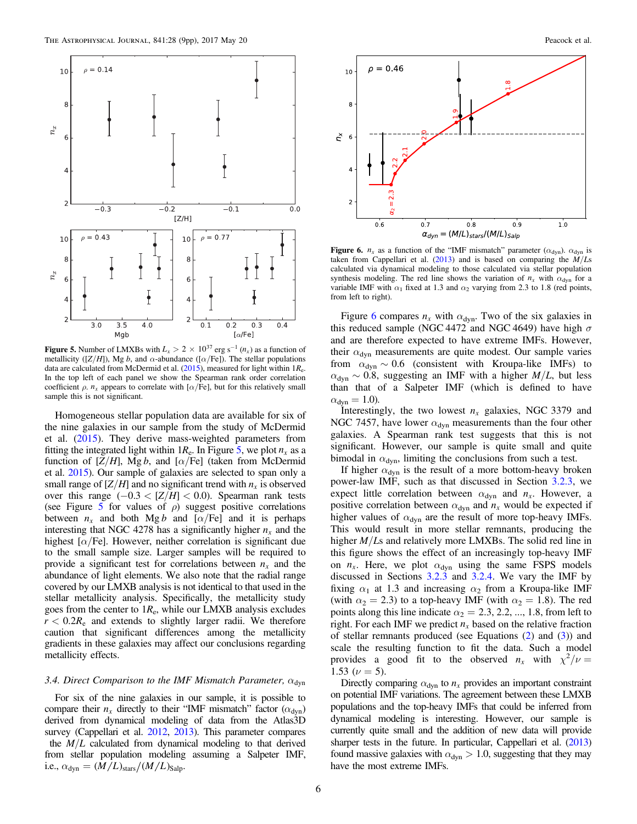<span id="page-5-0"></span>

**Figure 5.** Number of LMXBs with  $L_x > 2 \times 10^{37}$  erg s<sup>-1</sup> ( $n_x$ ) as a function of metallicity ( $[Z/H]$ ), Mg b, and  $\alpha$ -abundance ( $[\alpha/Fe]$ ). The stellar populations data are calculated from McDermid et al.  $(2015)$  $(2015)$  $(2015)$ , measured for light within  $1R_e$ . In the top left of each panel we show the Spearman rank order correlation coefficient  $\rho$ .  $n_x$  appears to correlate with [ $\alpha$ /Fe], but for this relatively small sample this is not significant.

Homogeneous stellar population data are available for six of the nine galaxies in our sample from the study of McDermid et al. ([2015](#page-8-0)). They derive mass-weighted parameters from fitting the integrated light within  $1R_e$ . In Figure 5, we plot  $n_x$  as a function of  $[Z/H]$ , Mg b, and  $[\alpha/Fe]$  (taken from McDermid et al. [2015](#page-8-0)). Our sample of galaxies are selected to span only a small range of  $[Z/H]$  and no significant trend with  $n<sub>x</sub>$  is observed over this range  $(-0.3 < [Z/H] < 0.0)$ . Spearman rank tests (see Figure 5 for values of  $\rho$ ) suggest positive correlations between  $n_x$  and both Mg b and  $\lceil \alpha / \text{Fe} \rceil$  and it is perhaps interesting that NGC 4278 has a significantly higher  $n_x$  and the highest  $\lceil \alpha / \text{Fe} \rceil$ . However, neither correlation is significant due to the small sample size. Larger samples will be required to provide a significant test for correlations between  $n<sub>x</sub>$  and the abundance of light elements. We also note that the radial range covered by our LMXB analysis is not identical to that used in the stellar metallicity analysis. Specifically, the metallicity study goes from the center to  $1R_e$ , while our LMXB analysis excludes  $r < 0.2R<sub>e</sub>$  and extends to slightly larger radii. We therefore caution that significant differences among the metallicity gradients in these galaxies may affect our conclusions regarding metallicity effects.

# 3.4. Direct Comparison to the IMF Mismatch Parameter,  $\alpha_{\text{dyn}}$

For six of the nine galaxies in our sample, it is possible to compare their  $n_x$  directly to their "IMF mismatch" factor ( $\alpha_{dyn}$ ) derived from dynamical modeling of data from the Atlas3D survey (Cappellari et al. [2012,](#page-8-0) [2013](#page-8-0)). This parameter compares the  $M/L$  calculated from dynamical modeling to that derived from stellar population modeling assuming a Salpeter IMF, i.e.,  $\alpha_{\text{dyn}} = (M/L)_{\text{stars}} / (M/L)_{\text{Salp}}$ .





Figure 6.  $n_x$  as a function of the "IMF mismatch" parameter ( $\alpha_{dyn}$ ).  $\alpha_{dyn}$  is taken from Cappellari et al. ([2013](#page-8-0)) and is based on comparing the  $\dot{M}/Ls$ calculated via dynamical modeling to those calculated via stellar population synthesis modeling. The red line shows the variation of  $n_x$  with  $\alpha_{dyn}$  for a variable IMF with  $\alpha_1$  fixed at 1.3 and  $\alpha_2$  varying from 2.3 to 1.8 (red points, from left to right).

Figure 6 compares  $n_x$  with  $\alpha_{dyn}$ . Two of the six galaxies in this reduced sample (NGC 4472 and NGC 4649) have high  $\sigma$ and are therefore expected to have extreme IMFs. However, their  $\alpha_{dyn}$  measurements are quite modest. Our sample varies from  $\alpha_{dyn} \sim 0.6$  (consistent with Kroupa-like IMFs) to  $\alpha_{\text{dyn}} \sim 0.8$ , suggesting an IMF with a higher  $M/L$ , but less than that of a Salpeter IMF (which is defined to have  $\alpha_{\text{dyn}} = 1.0$ ).

Interestingly, the two lowest  $n_x$  galaxies, NGC 3379 and NGC 7457, have lower  $\alpha_{\text{dyn}}$  measurements than the four other galaxies. A Spearman rank test suggests that this is not significant. However, our sample is quite small and quite bimodal in  $\alpha_{dyn}$ , limiting the conclusions from such a test.

If higher  $\alpha_{\text{dyn}}$  is the result of a more bottom-heavy broken power-law IMF, such as that discussed in Section [3.2.3,](#page-3-0) we expect little correlation between  $\alpha_{\text{dyn}}$  and  $n_x$ . However, a positive correlation between  $\alpha_{dyn}$  and  $n_x$  would be expected if higher values of  $\alpha_{dyn}$  are the result of more top-heavy IMFs. This would result in more stellar remnants, producing the higher  $M/Ls$  and relatively more LMXBs. The solid red line in this figure shows the effect of an increasingly top-heavy IMF on  $n_x$ . Here, we plot  $\alpha_{dyn}$  using the same FSPS models discussed in Sections [3.2.3](#page-3-0) and [3.2.4](#page-4-0). We vary the IMF by fixing  $\alpha_1$  at 1.3 and increasing  $\alpha_2$  from a Kroupa-like IMF (with  $\alpha_2 = 2.3$ ) to a top-heavy IMF (with  $\alpha_2 = 1.8$ ). The red points along this line indicate  $\alpha_2 = 2.3, 2.2, ..., 1.8$ , from left to right. For each IMF we predict  $n<sub>x</sub>$  based on the relative fraction of stellar remnants produced (see Equations ([2](#page-4-0)) and ([3](#page-4-0))) and scale the resulting function to fit the data. Such a model provides a good fit to the observed  $n_x$  with  $\chi^2/\nu =$ 1.53 ( $\nu = 5$ ).

Directly comparing  $\alpha_{dyn}$  to  $n_x$  provides an important constraint on potential IMF variations. The agreement between these LMXB populations and the top-heavy IMFs that could be inferred from dynamical modeling is interesting. However, our sample is currently quite small and the addition of new data will provide sharper tests in the future. In particular, Cappellari et al. ([2013](#page-8-0)) found massive galaxies with  $\alpha_{dyn} > 1.0$ , suggesting that they may have the most extreme IMFs.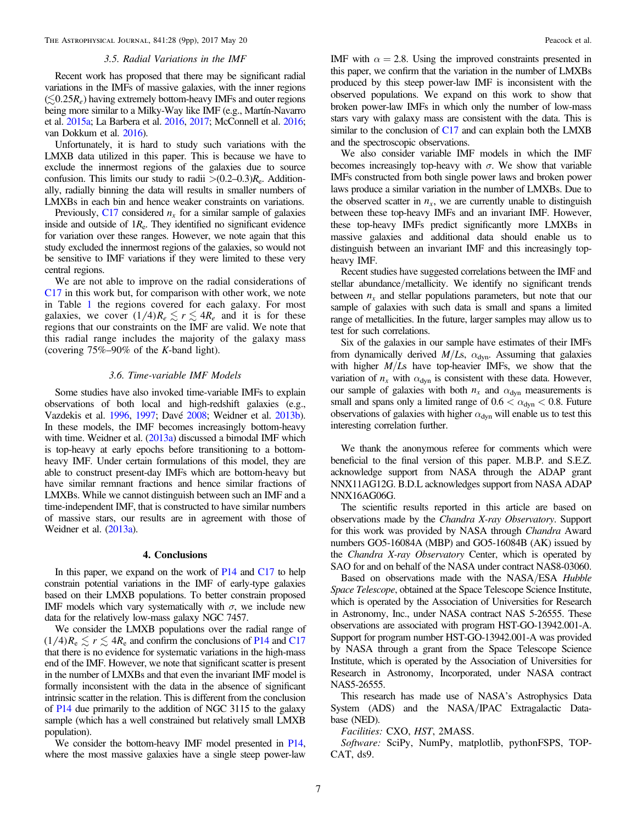#### 3.5. Radial Variations in the IMF

Recent work has proposed that there may be significant radial variations in the IMFs of massive galaxies, with the inner regions  $(\leq 0.25R_e)$  having extremely bottom-heavy IMFs and outer regions being more similar to a Milky-Way like IMF (e.g., Martín-Navarro et al. [2015a;](#page-8-0) La Barbera et al. [2016](#page-8-0), [2017](#page-8-0); McConnell et al. [2016](#page-8-0); van Dokkum et al. [2016](#page-8-0)).

Unfortunately, it is hard to study such variations with the LMXB data utilized in this paper. This is because we have to exclude the innermost regions of the galaxies due to source confusion. This limits our study to radii  $>(0.2-0.3)R_e$ . Additionally, radially binning the data will results in smaller numbers of LMXBs in each bin and hence weaker constraints on variations.

Previously,  $C17$  considered  $n<sub>x</sub>$  for a similar sample of galaxies inside and outside of  $1R<sub>e</sub>$ . They identified no significant evidence for variation over these ranges. However, we note again that this study excluded the innermost regions of the galaxies, so would not be sensitive to IMF variations if they were limited to these very central regions.

We are not able to improve on the radial considerations of [C17](#page-8-0) in this work but, for comparison with other work, we note in Table [1](#page-1-0) the regions covered for each galaxy. For most galaxies, we cover  $(1/4)R_e \lesssim r \lesssim 4R_e$  and it is for these regions that our constraints on the IMF are valid. We note that this radial range includes the majority of the galaxy mass (covering  $75\% - 90\%$  of the K-band light).

## 3.6. Time-variable IMF Models

Some studies have also invoked time-variable IMFs to explain observations of both local and high-redshift galaxies (e.g., Vazdekis et al. [1996](#page-8-0), [1997](#page-8-0); Davé [2008;](#page-8-0) Weidner et al. [2013b](#page-8-0)). In these models, the IMF becomes increasingly bottom-heavy with time. Weidner et al. ([2013a](#page-8-0)) discussed a bimodal IMF which is top-heavy at early epochs before transitioning to a bottomheavy IMF. Under certain formulations of this model, they are able to construct present-day IMFs which are bottom-heavy but have similar remnant fractions and hence similar fractions of LMXBs. While we cannot distinguish between such an IMF and a time-independent IMF, that is constructed to have similar numbers of massive stars, our results are in agreement with those of Weidner et al. ([2013a](#page-8-0)).

## 4. Conclusions

In this paper, we expand on the work of [P14](#page-8-0) and [C17](#page-8-0) to help constrain potential variations in the IMF of early-type galaxies based on their LMXB populations. To better constrain proposed IMF models which vary systematically with  $\sigma$ , we include new data for the relatively low-mass galaxy NGC 7457.

We consider the LMXB populations over the radial range of  $(1/4)R_e \lesssim r \lesssim 4R_e$  and confirm the conclusions of [P14](#page-8-0) and [C17](#page-8-0) that there is no evidence for systematic variations in the high-mass end of the IMF. However, we note that significant scatter is present in the number of LMXBs and that even the invariant IMF model is formally inconsistent with the data in the absence of significant intrinsic scatter in the relation. This is different from the conclusion of [P14](#page-8-0) due primarily to the addition of NGC 3115 to the galaxy sample (which has a well constrained but relatively small LMXB population).

We consider the bottom-heavy IMF model presented in [P14,](#page-8-0) where the most massive galaxies have a single steep power-law IMF with  $\alpha = 2.8$ . Using the improved constraints presented in this paper, we confirm that the variation in the number of LMXBs produced by this steep power-law IMF is inconsistent with the observed populations. We expand on this work to show that broken power-law IMFs in which only the number of low-mass stars vary with galaxy mass are consistent with the data. This is similar to the conclusion of [C17](#page-8-0) and can explain both the LMXB and the spectroscopic observations.

We also consider variable IMF models in which the IMF becomes increasingly top-heavy with  $\sigma$ . We show that variable IMFs constructed from both single power laws and broken power laws produce a similar variation in the number of LMXBs. Due to the observed scatter in  $n<sub>x</sub>$ , we are currently unable to distinguish between these top-heavy IMFs and an invariant IMF. However, these top-heavy IMFs predict significantly more LMXBs in massive galaxies and additional data should enable us to distinguish between an invariant IMF and this increasingly topheavy IMF.

Recent studies have suggested correlations between the IMF and stellar abundance/metallicity. We identify no significant trends between  $n<sub>x</sub>$  and stellar populations parameters, but note that our sample of galaxies with such data is small and spans a limited range of metallicities. In the future, larger samples may allow us to test for such correlations.

Six of the galaxies in our sample have estimates of their IMFs from dynamically derived  $M/Ls$ ,  $\alpha_{dyn}$ . Assuming that galaxies with higher  $M/Ls$  have top-heavier IMFs, we show that the variation of  $n_x$  with  $\alpha_{dyn}$  is consistent with these data. However, our sample of galaxies with both  $n_x$  and  $\alpha_{dyn}$  measurements is small and spans only a limited range of  $0.6 < \alpha_{\text{dyn}} < 0.8$ . Future observations of galaxies with higher  $\alpha_{\text{dyn}}$  will enable us to test this interesting correlation further.

We thank the anonymous referee for comments which were beneficial to the final version of this paper. M.B.P. and S.E.Z. acknowledge support from NASA through the ADAP grant NNX11AG12G. B.D.L acknowledges support from NASA ADAP NNX16AG06G.

The scientific results reported in this article are based on observations made by the Chandra X-ray Observatory. Support for this work was provided by NASA through Chandra Award numbers GO5-16084A (MBP) and GO5-16084B (AK) issued by the Chandra X-ray Observatory Center, which is operated by SAO for and on behalf of the NASA under contract NAS8-03060.

Based on observations made with the NASA/ESA Hubble Space Telescope, obtained at the Space Telescope Science Institute, which is operated by the Association of Universities for Research in Astronomy, Inc., under NASA contract NAS 5-26555. These observations are associated with program HST-GO-13942.001-A. Support for program number HST-GO-13942.001-A was provided by NASA through a grant from the Space Telescope Science Institute, which is operated by the Association of Universities for Research in Astronomy, Incorporated, under NASA contract NAS5-26555.

This research has made use of NASA's Astrophysics Data System (ADS) and the NASA/IPAC Extragalactic Database (NED).

Facilities: CXO, HST, 2MASS.

Software: SciPy, NumPy, matplotlib, pythonFSPS, TOP-CAT, ds9.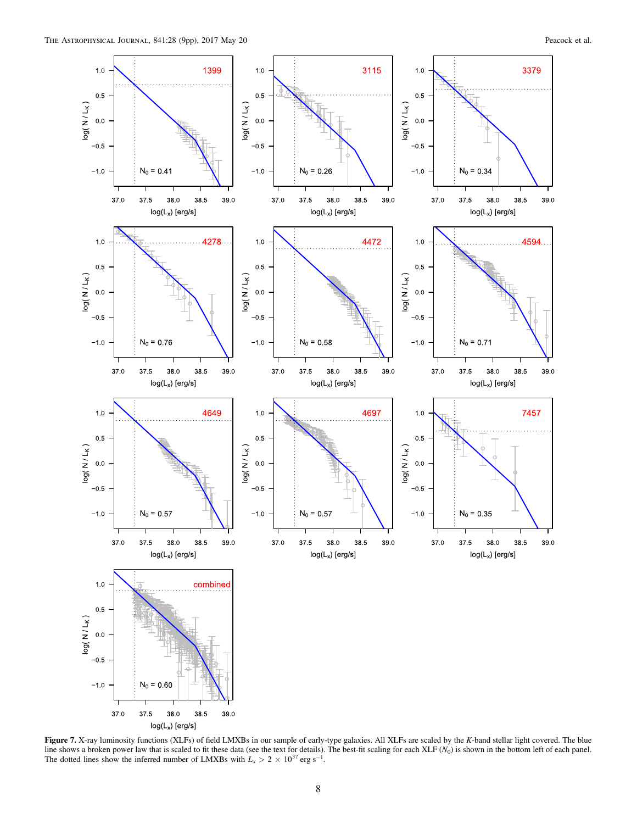<span id="page-7-0"></span>![](_page_7_Figure_2.jpeg)

Figure 7. X-ray luminosity functions (XLFs) of field LMXBs in our sample of early-type galaxies. All XLFs are scaled by the K-band stellar light covered. The blue line shows a broken power law that is scaled to fit these data (see the text for details). The best-fit scaling for each XLF  $(N_0)$  is shown in the bottom left of each panel. The dotted lines show the inferred number of LMXBs with  $L_x > 2 \times 10^{37}$  erg s<sup>-1</sup>.